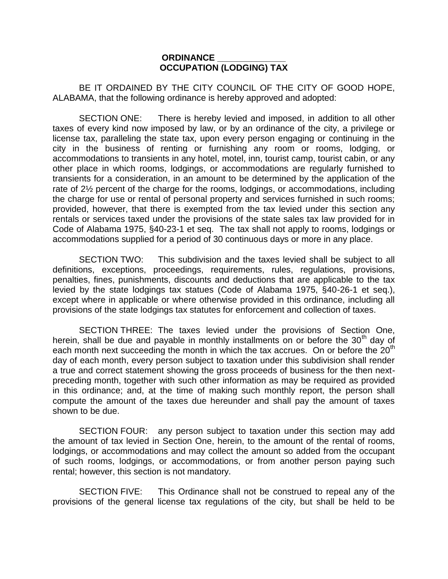## **ORDINANCE \_\_\_\_\_\_\_\_\_\_\_\_\_\_ OCCUPATION (LODGING) TAX**

BE IT ORDAINED BY THE CITY COUNCIL OF THE CITY OF GOOD HOPE, ALABAMA, that the following ordinance is hereby approved and adopted:

SECTION ONE: There is hereby levied and imposed, in addition to all other taxes of every kind now imposed by law, or by an ordinance of the city, a privilege or license tax, paralleling the state tax, upon every person engaging or continuing in the city in the business of renting or furnishing any room or rooms, lodging, or accommodations to transients in any hotel, motel, inn, tourist camp, tourist cabin, or any other place in which rooms, lodgings, or accommodations are regularly furnished to transients for a consideration, in an amount to be determined by the application of the rate of 2½ percent of the charge for the rooms, lodgings, or accommodations, including the charge for use or rental of personal property and services furnished in such rooms; provided, however, that there is exempted from the tax levied under this section any rentals or services taxed under the provisions of the state sales tax law provided for in Code of Alabama 1975, §40-23-1 et seq. The tax shall not apply to rooms, lodgings or accommodations supplied for a period of 30 continuous days or more in any place.

SECTION TWO: This subdivision and the taxes levied shall be subject to all definitions, exceptions, proceedings, requirements, rules, regulations, provisions, penalties, fines, punishments, discounts and deductions that are applicable to the tax levied by the state lodgings tax statues (Code of Alabama 1975, §40-26-1 et seq.), except where in applicable or where otherwise provided in this ordinance, including all provisions of the state lodgings tax statutes for enforcement and collection of taxes.

SECTION THREE: The taxes levied under the provisions of Section One, herein, shall be due and payable in monthly installments on or before the  $30<sup>th</sup>$  day of each month next succeeding the month in which the tax accrues. On or before the  $20<sup>th</sup>$ day of each month, every person subject to taxation under this subdivision shall render a true and correct statement showing the gross proceeds of business for the then nextpreceding month, together with such other information as may be required as provided in this ordinance; and, at the time of making such monthly report, the person shall compute the amount of the taxes due hereunder and shall pay the amount of taxes shown to be due.

SECTION FOUR: any person subject to taxation under this section may add the amount of tax levied in Section One, herein, to the amount of the rental of rooms, lodgings, or accommodations and may collect the amount so added from the occupant of such rooms, lodgings, or accommodations, or from another person paying such rental; however, this section is not mandatory.

SECTION FIVE: This Ordinance shall not be construed to repeal any of the provisions of the general license tax regulations of the city, but shall be held to be